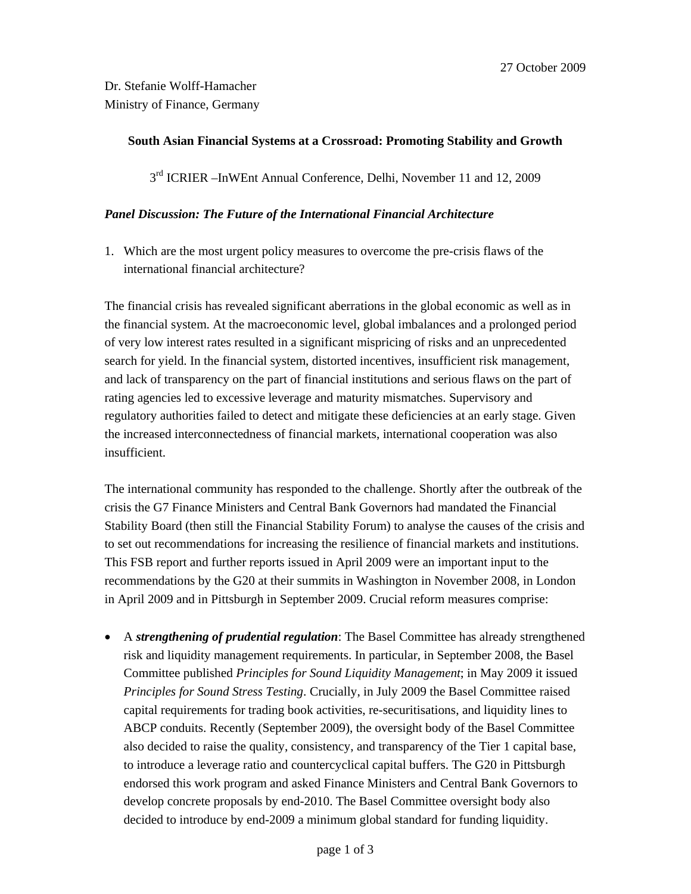## **South Asian Financial Systems at a Crossroad: Promoting Stability and Growth**

3<sup>rd</sup> ICRIER –InWEnt Annual Conference, Delhi, November 11 and 12, 2009

## *Panel Discussion: The Future of the International Financial Architecture*

1. Which are the most urgent policy measures to overcome the pre-crisis flaws of the international financial architecture?

The financial crisis has revealed significant aberrations in the global economic as well as in the financial system. At the macroeconomic level, global imbalances and a prolonged period of very low interest rates resulted in a significant mispricing of risks and an unprecedented search for yield. In the financial system, distorted incentives, insufficient risk management, and lack of transparency on the part of financial institutions and serious flaws on the part of rating agencies led to excessive leverage and maturity mismatches. Supervisory and regulatory authorities failed to detect and mitigate these deficiencies at an early stage. Given the increased interconnectedness of financial markets, international cooperation was also insufficient.

The international community has responded to the challenge. Shortly after the outbreak of the crisis the G7 Finance Ministers and Central Bank Governors had mandated the Financial Stability Board (then still the Financial Stability Forum) to analyse the causes of the crisis and to set out recommendations for increasing the resilience of financial markets and institutions. This FSB report and further reports issued in April 2009 were an important input to the recommendations by the G20 at their summits in Washington in November 2008, in London in April 2009 and in Pittsburgh in September 2009. Crucial reform measures comprise:

• A *strengthening of prudential regulation*: The Basel Committee has already strengthened risk and liquidity management requirements. In particular, in September 2008, the Basel Committee published *Principles for Sound Liquidity Management*; in May 2009 it issued *Principles for Sound Stress Testing*. Crucially, in July 2009 the Basel Committee raised capital requirements for trading book activities, re-securitisations, and liquidity lines to ABCP conduits. Recently (September 2009), the oversight body of the Basel Committee also decided to raise the quality, consistency, and transparency of the Tier 1 capital base, to introduce a leverage ratio and countercyclical capital buffers. The G20 in Pittsburgh endorsed this work program and asked Finance Ministers and Central Bank Governors to develop concrete proposals by end-2010. The Basel Committee oversight body also decided to introduce by end-2009 a minimum global standard for funding liquidity.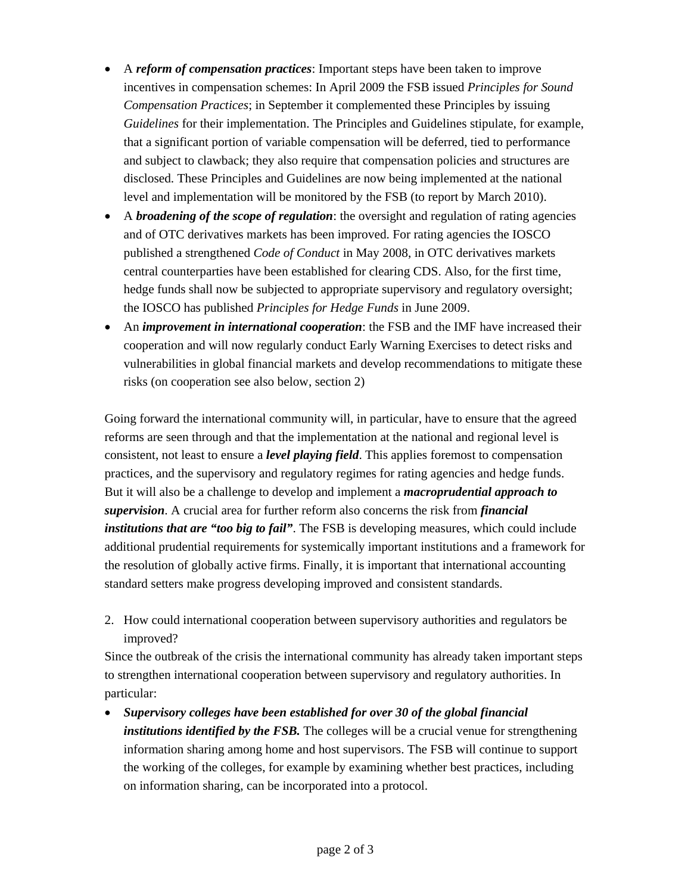- A *reform of compensation practices*: Important steps have been taken to improve incentives in compensation schemes: In April 2009 the FSB issued *Principles for Sound Compensation Practices*; in September it complemented these Principles by issuing *Guidelines* for their implementation. The Principles and Guidelines stipulate, for example, that a significant portion of variable compensation will be deferred, tied to performance and subject to clawback; they also require that compensation policies and structures are disclosed. These Principles and Guidelines are now being implemented at the national level and implementation will be monitored by the FSB (to report by March 2010).
- A *broadening of the scope of regulation*: the oversight and regulation of rating agencies and of OTC derivatives markets has been improved. For rating agencies the IOSCO published a strengthened *Code of Conduct* in May 2008, in OTC derivatives markets central counterparties have been established for clearing CDS. Also, for the first time, hedge funds shall now be subjected to appropriate supervisory and regulatory oversight; the IOSCO has published *Principles for Hedge Funds* in June 2009.
- An *improvement in international cooperation*: the FSB and the IMF have increased their cooperation and will now regularly conduct Early Warning Exercises to detect risks and vulnerabilities in global financial markets and develop recommendations to mitigate these risks (on cooperation see also below, section 2)

Going forward the international community will, in particular, have to ensure that the agreed reforms are seen through and that the implementation at the national and regional level is consistent, not least to ensure a *level playing field*. This applies foremost to compensation practices, and the supervisory and regulatory regimes for rating agencies and hedge funds. But it will also be a challenge to develop and implement a *macroprudential approach to supervision*. A crucial area for further reform also concerns the risk from *financial institutions that are "too big to fail"*. The FSB is developing measures, which could include additional prudential requirements for systemically important institutions and a framework for the resolution of globally active firms. Finally, it is important that international accounting standard setters make progress developing improved and consistent standards.

2. How could international cooperation between supervisory authorities and regulators be improved?

Since the outbreak of the crisis the international community has already taken important steps to strengthen international cooperation between supervisory and regulatory authorities. In particular:

• *Supervisory colleges have been established for over 30 of the global financial institutions identified by the FSB*. The colleges will be a crucial venue for strengthening information sharing among home and host supervisors. The FSB will continue to support the working of the colleges, for example by examining whether best practices, including on information sharing, can be incorporated into a protocol.